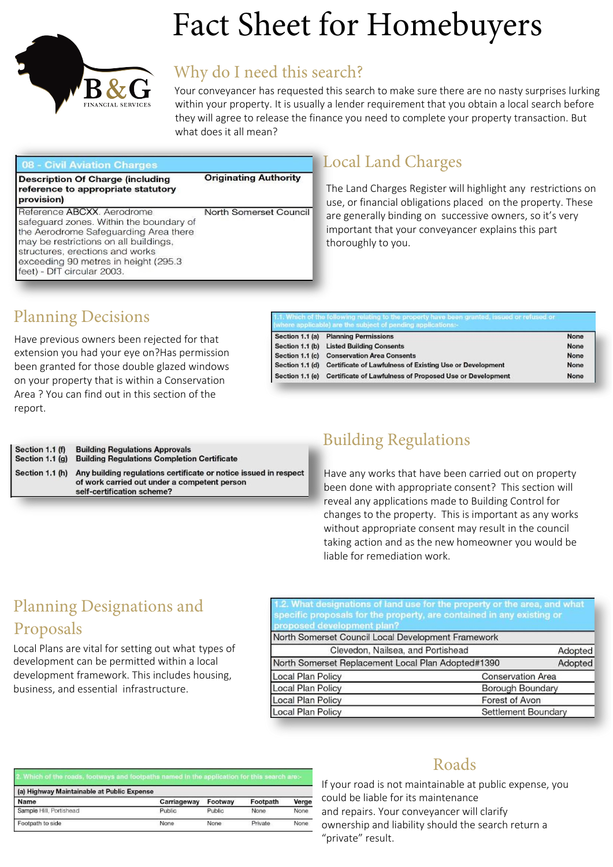

# Fact Sheet for Homebuyers

# Why do I need this search?

**Originating Authority** 

respect

Your conveyancer has requested this search to make sure there are no nasty surprises lurking within your property. It is usually a lender requirement that you obtain a local search before they will agree to release the finance you need to complete your property transaction. But what does it all mean?

#### 08 - Civil Aviation Charges

**Description Of Charge (including** reference to appropriate statutory provision)

Reference ABCXX. Aerodrome North Somerset Council safequard zones. Within the boundary of the Aerodrome Safeguarding Area there may be restrictions on all buildings, structures, erections and works exceeding 90 metres in height (295.3) feet) - DfT circular 2003

# Local Land Charges

The Land Charges Register will highlight any restrictions on use, or financial obligations placed on the property. These are generally binding on successive owners, so it's very important that your conveyancer explains this part thoroughly to you.

|  | <b>Planning Decisions</b> |
|--|---------------------------|
|--|---------------------------|

Have previous owners been rejected for that extension you had your eye on?Has permission been granted for those double glazed windows on your property that is within a Conservation Area ? You can find out in this section of the report.

| Section 1.1 (a) Planning Permissions                                     | None |
|--------------------------------------------------------------------------|------|
| Section 1.1 (b) Listed Building Consents                                 | None |
| Section 1.1 (c) Conservation Area Consents                               | None |
| Section 1.1 (d) Certificate of Lawfulness of Existing Use or Development | None |
| Section 1.1 (e) Certificate of Lawfulness of Proposed Use or Development | None |

| Section 1.1 (f) | <b>Building Regulations Approvals</b>                                                                                                  |
|-----------------|----------------------------------------------------------------------------------------------------------------------------------------|
| Section 1.1 (g) | <b>Building Regulations Completion Certificate</b>                                                                                     |
| Section 1.1 (h) | Any building regulations certificate or notice issued in<br>of work carried out under a competent person<br>self-certification scheme? |

# Building Regulations

Have any works that have been carried out on property been done with appropriate consent? This section will reveal any applications made to Building Control for changes to the property. This is important as any works without appropriate consent may result in the council taking action and as the new homeowner you would be liable for remediation work.

# Planning Designations and Proposals

Local Plans are vital for setting out what types of development can be permitted within a local development framework. This includes housing, business, and essential infrastructure.

What designations of land use for the property or the area, and what **conosed development plan?** 

| North Somerset Council Local Development Framework |  |                          |  |
|----------------------------------------------------|--|--------------------------|--|
| Clevedon, Nailsea, and Portishead                  |  | Adopted                  |  |
| North Somerset Replacement Local Plan Adopted#1390 |  | Adopted                  |  |
| Local Plan Policy                                  |  | <b>Conservation Area</b> |  |
| Local Plan Policy                                  |  | Borough Boundary         |  |
| Local Plan Policy                                  |  | Forest of Avon           |  |
| Local Plan Policy                                  |  | Settlement Boundary      |  |

| 2. Which of the roads, footways and footpaths named in the application for this search are:- |             |         |          |             |  |
|----------------------------------------------------------------------------------------------|-------------|---------|----------|-------------|--|
| (a) Highway Maintainable at Public Expense                                                   |             |         |          |             |  |
| Name                                                                                         | Carriageway | Footway | Footpath | Verge       |  |
| Sample Hill, Portishead                                                                      | Public      | Public  | None     | <b>None</b> |  |
| Footpath to side                                                                             | None        | None    | Private  | <b>None</b> |  |

### Roads

If your road is not maintainable at public expense, you could be liable for its maintenance and repairs. Your conveyancer will clarify ownership and liability should the search return a "private" result.